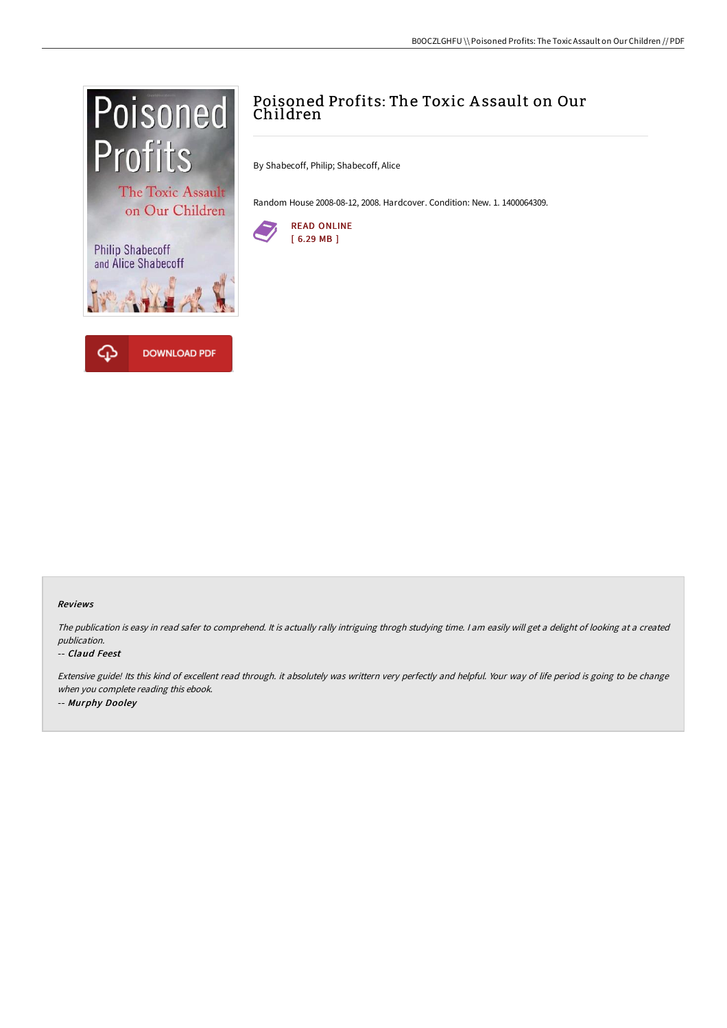

# Poisoned Profits: The Toxic A ssault on Our Children

By Shabecoff, Philip; Shabecoff, Alice

Random House 2008-08-12, 2008. Hardcover. Condition: New. 1. 1400064309.



#### Reviews

The publication is easy in read safer to comprehend. It is actually rally intriguing throgh studying time. I am easily will get a delight of looking at a created publication.

#### -- Claud Feest

Extensive guide! Its this kind of excellent read through. it absolutely was writtern very perfectly and helpful. Your way of life period is going to be change when you complete reading this ebook. -- Murphy Dooley